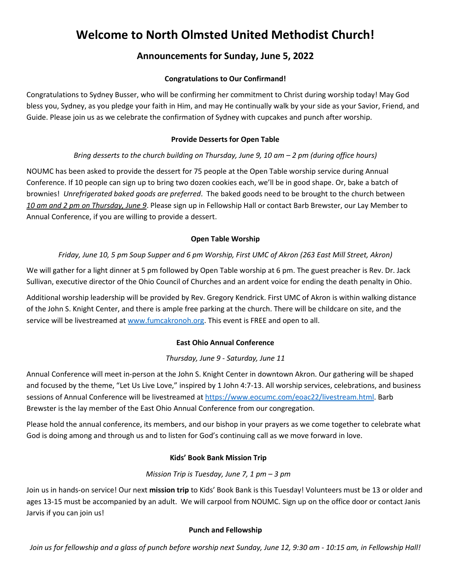# **Welcome to North Olmsted United Methodist Church!**

# **Announcements for Sunday, June 5, 2022**

#### **Congratulations to Our Confirmand!**

Congratulations to Sydney Busser, who will be confirming her commitment to Christ during worship today! May God bless you, Sydney, as you pledge your faith in Him, and may He continually walk by your side as your Savior, Friend, and Guide. Please join us as we celebrate the confirmation of Sydney with cupcakes and punch after worship.

#### **Provide Desserts for Open Table**

# *Bring desserts to the church building on Thursday, June 9, 10 am – 2 pm (during office hours)*

NOUMC has been asked to provide the dessert for 75 people at the Open Table worship service during Annual Conference. If 10 people can sign up to bring two dozen cookies each, we'll be in good shape. Or, bake a batch of brownies! *Unrefrigerated baked goods are preferred*. The baked goods need to be brought to the church between *10 am and 2 pm on Thursday, June 9*. Please sign up in Fellowship Hall or contact Barb Brewster, our Lay Member to Annual Conference, if you are willing to provide a dessert.

# **Open Table Worship**

# *Friday, June 10, 5 pm Soup Supper and 6 pm Worship, First UMC of Akron (263 East Mill Street, Akron)*

We will gather for a light dinner at 5 pm followed by Open Table worship at 6 pm. The guest preacher is Rev. Dr. Jack Sullivan, executive director of the Ohio Council of Churches and an ardent voice for ending the death penalty in Ohio.

Additional worship leadership will be provided by Rev. Gregory Kendrick. First UMC of Akron is within walking distance of the John S. Knight Center, and there is ample free parking at the church. There will be childcare on site, and the service will be livestreamed at [www.fumcakronoh.org.](file:///F:/North%20Olmsted%20UMC/www.fumcakronoh.org) This event is FREE and open to all.

#### **East Ohio Annual Conference**

#### *Thursday, June 9 - Saturday, June 11*

Annual Conference will meet in-person at the John S. Knight Center in downtown Akron. Our gathering will be shaped and focused by the theme, "Let Us Live Love," inspired by 1 John 4:7-13. All worship services, celebrations, and business sessions of Annual Conference will be livestreamed at <https://www.eocumc.com/eoac22/livestream.html>. Barb Brewster is the lay member of the East Ohio Annual Conference from our congregation.

Please hold the annual conference, its members, and our bishop in your prayers as we come together to celebrate what God is doing among and through us and to listen for God's continuing call as we move forward in love.

# **Kids' Book Bank Mission Trip**

#### *Mission Trip is Tuesday, June 7, 1 pm – 3 pm*

Join us in hands-on service! Our next **mission trip** to Kids' Book Bank is this Tuesday! Volunteers must be 13 or older and ages 13-15 must be accompanied by an adult. We will carpool from NOUMC. Sign up on the office door or contact Janis Jarvis if you can join us!

#### **Punch and Fellowship**

Join us for fellowship and a glass of punch before worship next Sunday, June 12, 9:30 am - 10:15 am, in Fellowship Hall!